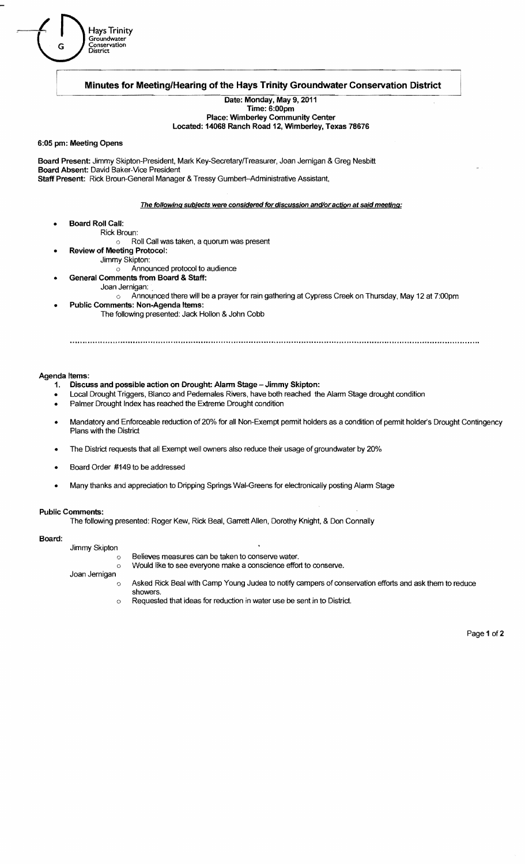

Date: Monday. May 9, 2011

#### Time: 6:00pm Place: Wimberley Community Center

Located: 14068 Ranch Road 12, Wimberley. Texas 78676

### 6:05 pm: Meeting Opens

Hays Trinit

L

Board Present: Jimmy Skipton-President, Mark Key-Secretary/Treasurer, Joan Jernigan & Greg Nesbitt Board Absent: David Baker-Vice President Staff Present: Rick Broun-General Manager & Tressy Gumbert-Administrative Assistant,

The following subjects were considered for discussion and/or action at said meeting:

Board Roll Call: Rick Broun:

o Roll Call was taken, a quorum was present

Review of Meeting Protocol:

Hays Trinity<br>Groundwater

District

Jimmy Skipton:

o Announced protocol to audience General Comments from Board & Staff:

- - Joan Jernigan: .
	- o Announced there will be a prayer for rain gathering at Cypress Creek on Thursday, May 12 at 7:00pm
	- Public Comments: Non-Agenda Items: The following presented: Jack Hollon & John Cobb

## Agenda Items:

- 1. Discuss and possible action on Drought: Alarm Stage Jimmy Skipton:
- Local Drought Triggers, Blanco and Pedemales Rivers, have both reached the Alarm Stage drought condition
- Palmer Drought Index has reached the Extreme Drought condition
- Mandatory and Enforceable reduction of 20% for all Non-Exempt permit holders as a condition of permit holder's Drought Contingency Plans with the District
- The District requests that all Exempt well owners also reduce their usage of groundwater by 20%
- Board Order #149 to be addressed
- Many thanks and appreciation to Dripping Springs Wal-Greens for electronically posting Alarm Stage

#### Public Comments:

The following presented: Roger Kew, Rick Beal, Garrett Allen, Dorothy Knight, & Don Connally

# Board:

Jimmy Skipton o Believes measures can be taken to conserve water. o Would like to see everyone make a conscience effort to conserve. Joan Jernigan

- $\circ$  Asked Rick Beal with Camp Young Judea to notify campers of conservation efforts and ask them to reduce
- showers.
- o Requested that ideas for reduction in water use be sent in to District.